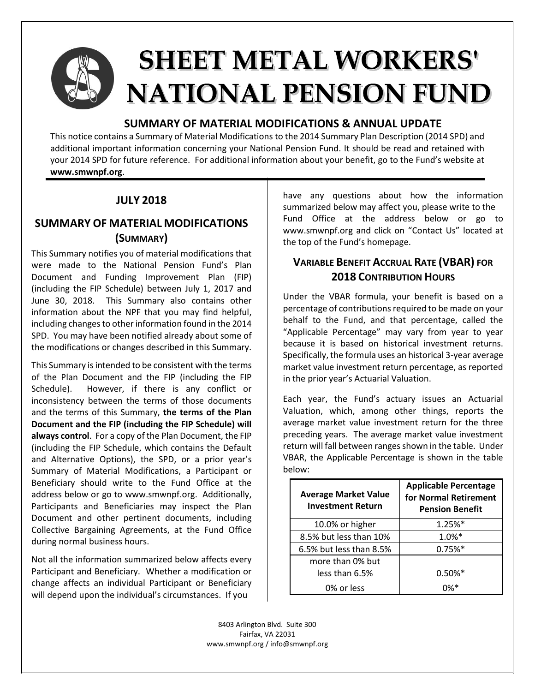

# **SHEET METAL WORKERS' NATIONAL PENSION FUND**

#### **SUMMARY OF MATERIAL MODIFICATIONS & ANNUAL UPDATE**

This notice contains a Summary of Material Modifications to the 2014 Summary Plan Description (2014 SPD) and additional important information concerning your National Pension Fund. It should be read and retained with your 2014 SPD for future reference. For additional information about your benefit, go to the Fund's website at **www.smwnpf.org**.

### **JULY 2018**

## **SUMMARY OF MATERIAL MODIFICATIONS (SUMMARY)**

This Summary notifies you of material modifications that were made to the National Pension Fund's Plan Document and Funding Improvement Plan (FIP) (including the FIP Schedule) between July 1, 2017 and June 30, 2018. This Summary also contains other information about the NPF that you may find helpful, including changes to other information found in the 2014 SPD. You may have been notified already about some of the modifications or changes described in this Summary.

This Summary is intended to be consistent with the terms of the Plan Document and the FIP (including the FIP Schedule). However, if there is any conflict or inconsistency between the terms of those documents and the terms of this Summary, **the terms of the Plan Document and the FIP (including the FIP Schedule) will always control**. For a copy of the Plan Document, the FIP (including the FIP Schedule, which contains the Default and Alternative Options), the SPD, or a prior year's Summary of Material Modifications, a Participant or Beneficiary should write to the Fund Office at the address below or go to www.smwnpf.org. Additionally, Participants and Beneficiaries may inspect the Plan Document and other pertinent documents, including Collective Bargaining Agreements, at the Fund Office during normal business hours.

Not all the information summarized below affects every Participant and Beneficiary. Whether a modification or change affects an individual Participant or Beneficiary will depend upon the individual's circumstances. If you

have any questions about how the information summarized below may affect you, please write to the Fund Office at the address below or go to www.smwnpf.org and click on "Contact Us" located at the top of the Fund's homepage.

## **VARIABLE BENEFIT ACCRUAL RATE (VBAR) FOR 2018 CONTRIBUTION HOURS**

Under the VBAR formula, your benefit is based on a percentage of contributions required to be made on your behalf to the Fund, and that percentage, called the "Applicable Percentage" may vary from year to year because it is based on historical investment returns. Specifically, the formula uses an historical 3-year average market value investment return percentage, as reported in the prior year's Actuarial Valuation.

Each year, the Fund's actuary issues an Actuarial Valuation, which, among other things, reports the average market value investment return for the three preceding years. The average market value investment return will fall between ranges shown in the table. Under VBAR, the Applicable Percentage is shown in the table below:

| <b>Average Market Value</b><br><b>Investment Return</b> | <b>Applicable Percentage</b><br>for Normal Retirement<br><b>Pension Benefit</b> |  |
|---------------------------------------------------------|---------------------------------------------------------------------------------|--|
| 10.0% or higher                                         | 1.25%*                                                                          |  |
| 8.5% but less than 10%                                  | $1.0%$ *                                                                        |  |
| 6.5% but less than 8.5%                                 | 0.75%                                                                           |  |
| more than 0% but                                        |                                                                                 |  |
| less than 6.5%                                          | $0.50\%*$                                                                       |  |
| 0% or less                                              |                                                                                 |  |

8403 Arlington Blvd. Suite 300 Fairfax, VA 22031 www.smwnpf.org / info@smwnpf.org